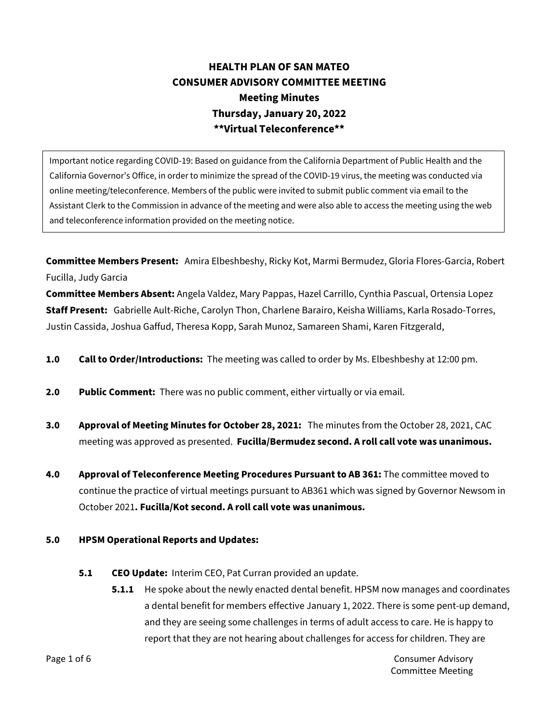## **HEALTH PLAN OF SAN MATEO CONSUMER ADVISORY COMMITTEE MEETING Meeting Minutes Thursday, January 20, 2022 \*\*Virtual Teleconference\*\***

Important notice regarding COVID-19: Based on guidance from the California Department of Public Health and the California Governor's Office, in order to minimize the spread of the COVID-19 virus, the meeting was conducted via online meeting/teleconference. Members of the public were invited to submit public comment via email to the Assistant Clerk to the Commission in advance of the meeting and were also able to access the meeting using the web and teleconference information provided on the meeting notice.

**Committee Members Present:** Amira Elbeshbeshy, Ricky Kot, Marmi Bermudez, Gloria Flores-Garcia, Robert Fucilla, Judy Garcia

**Committee Members Absent:** Angela Valdez, Mary Pappas, Hazel Carrillo, Cynthia Pascual, Ortensia Lopez **Staff Present:** Gabrielle Ault-Riche, Carolyn Thon, Charlene Barairo, Keisha Williams, Karla Rosado-Torres, Justin Cassida, Joshua Gaffud, Theresa Kopp, Sarah Munoz, Samareen Shami, Karen Fitzgerald,

- **1.0 Call to Order/Introductions:** The meeting was called to order by Ms. Elbeshbeshy at 12:00 pm.
- **2.0 Public Comment:** There was no public comment, either virtually or via email.
- **3.0 Approval of Meeting Minutes for October 28, 2021:** The minutes from the October 28, 2021, CAC meeting was approved as presented. **Fucilla/Bermudez second. A roll call vote was unanimous.**
- **4.0 Approval of Teleconference Meeting Procedures Pursuant to AB 361:** The committee moved to continue the practice of virtual meetings pursuant to AB361 which was signed by Governor Newsom in October 2021**. Fucilla/Kot second. A roll call vote was unanimous.**

## **5.0 HPSM Operational Reports and Updates:**

- **5.1 CEO Update:** Interim CEO, Pat Curran provided an update.
	- **5.1.1** He spoke about the newly enacted dental benefit. HPSM now manages and coordinates a dental benefit for members effective January 1, 2022. There is some pent-up demand, and they are seeing some challenges in terms of adult access to care. He is happy to report that they are not hearing about challenges for access for children. They are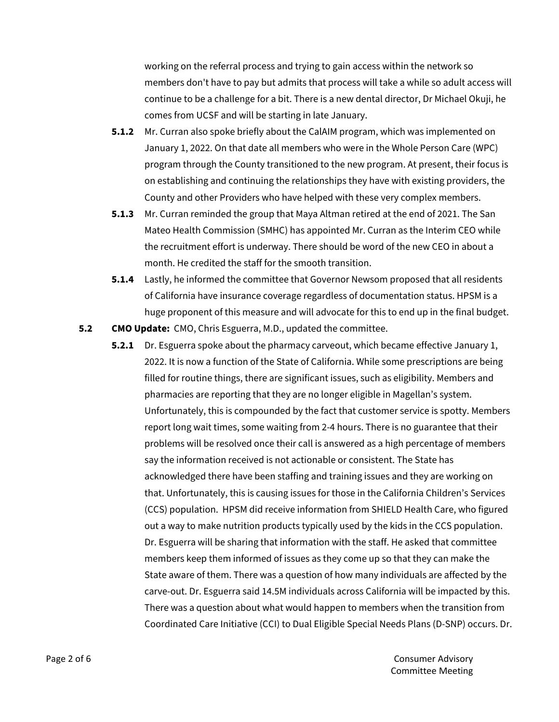working on the referral process and trying to gain access within the network so members don't have to pay but admits that process will take a while so adult access will continue to be a challenge for a bit. There is a new dental director, Dr Michael Okuji, he comes from UCSF and will be starting in late January.

- **5.1.2** Mr. Curran also spoke briefly about the CalAIM program, which was implemented on January 1, 2022. On that date all members who were in the Whole Person Care (WPC) program through the County transitioned to the new program. At present, their focus is on establishing and continuing the relationships they have with existing providers, the County and other Providers who have helped with these very complex members.
- **5.1.3** Mr. Curran reminded the group that Maya Altman retired at the end of 2021. The San Mateo Health Commission (SMHC) has appointed Mr. Curran as the Interim CEO while the recruitment effort is underway. There should be word of the new CEO in about a month. He credited the staff for the smooth transition.
- **5.1.4** Lastly, he informed the committee that Governor Newsom proposed that all residents of California have insurance coverage regardless of documentation status. HPSM is a huge proponent of this measure and will advocate for this to end up in the final budget.
- **5.2 CMO Update:** CMO, Chris Esguerra, M.D., updated the committee.
	- **5.2.1** Dr. Esguerra spoke about the pharmacy carveout, which became effective January 1, 2022. It is now a function of the State of California. While some prescriptions are being filled for routine things, there are significant issues, such as eligibility. Members and pharmacies are reporting that they are no longer eligible in Magellan's system. Unfortunately, this is compounded by the fact that customer service is spotty. Members report long wait times, some waiting from 2-4 hours. There is no guarantee that their problems will be resolved once their call is answered as a high percentage of members say the information received is not actionable or consistent. The State has acknowledged there have been staffing and training issues and they are working on that. Unfortunately, this is causing issues for those in the California Children's Services (CCS) population. HPSM did receive information from SHIELD Health Care, who figured out a way to make nutrition products typically used by the kids in the CCS population. Dr. Esguerra will be sharing that information with the staff. He asked that committee members keep them informed of issues as they come up so that they can make the State aware of them. There was a question of how many individuals are affected by the carve-out. Dr. Esguerra said 14.5M individuals across California will be impacted by this. There was a question about what would happen to members when the transition from Coordinated Care Initiative (CCI) to Dual Eligible Special Needs Plans (D-SNP) occurs. Dr.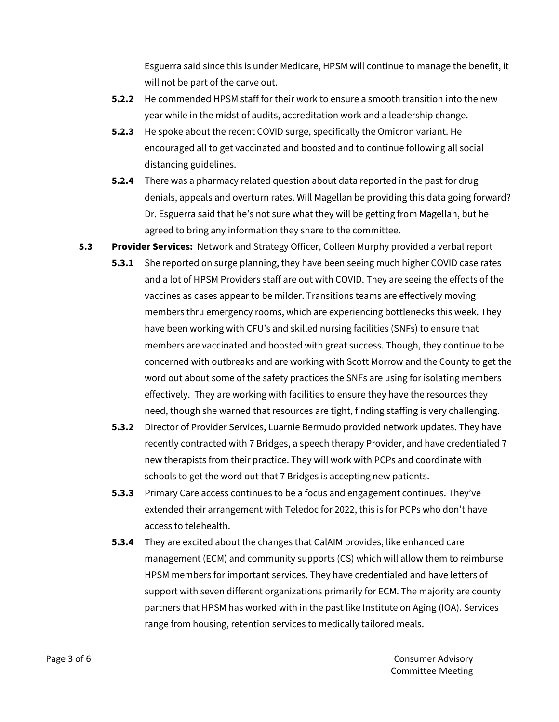Esguerra said since this is under Medicare, HPSM will continue to manage the benefit, it will not be part of the carve out.

- **5.2.2** He commended HPSM staff for their work to ensure a smooth transition into the new year while in the midst of audits, accreditation work and a leadership change.
- **5.2.3** He spoke about the recent COVID surge, specifically the Omicron variant. He encouraged all to get vaccinated and boosted and to continue following all social distancing guidelines.
- **5.2.4** There was a pharmacy related question about data reported in the past for drug denials, appeals and overturn rates. Will Magellan be providing this data going forward? Dr. Esguerra said that he's not sure what they will be getting from Magellan, but he agreed to bring any information they share to the committee.
- **5.3 Provider Services:** Network and Strategy Officer, Colleen Murphy provided a verbal report
	- **5.3.1** She reported on surge planning, they have been seeing much higher COVID case rates and a lot of HPSM Providers staff are out with COVID. They are seeing the effects of the vaccines as cases appear to be milder. Transitions teams are effectively moving members thru emergency rooms, which are experiencing bottlenecks this week. They have been working with CFU's and skilled nursing facilities (SNFs) to ensure that members are vaccinated and boosted with great success. Though, they continue to be concerned with outbreaks and are working with Scott Morrow and the County to get the word out about some of the safety practices the SNFs are using for isolating members effectively. They are working with facilities to ensure they have the resources they need, though she warned that resources are tight, finding staffing is very challenging.
	- **5.3.2** Director of Provider Services, Luarnie Bermudo provided network updates. They have recently contracted with 7 Bridges, a speech therapy Provider, and have credentialed 7 new therapists from their practice. They will work with PCPs and coordinate with schools to get the word out that 7 Bridges is accepting new patients.
	- **5.3.3** Primary Care access continues to be a focus and engagement continues. They've extended their arrangement with Teledoc for 2022, this is for PCPs who don't have access to telehealth.
	- **5.3.4** They are excited about the changes that CalAIM provides, like enhanced care management (ECM) and community supports (CS) which will allow them to reimburse HPSM members for important services. They have credentialed and have letters of support with seven different organizations primarily for ECM. The majority are county partners that HPSM has worked with in the past like Institute on Aging (IOA). Services range from housing, retention services to medically tailored meals.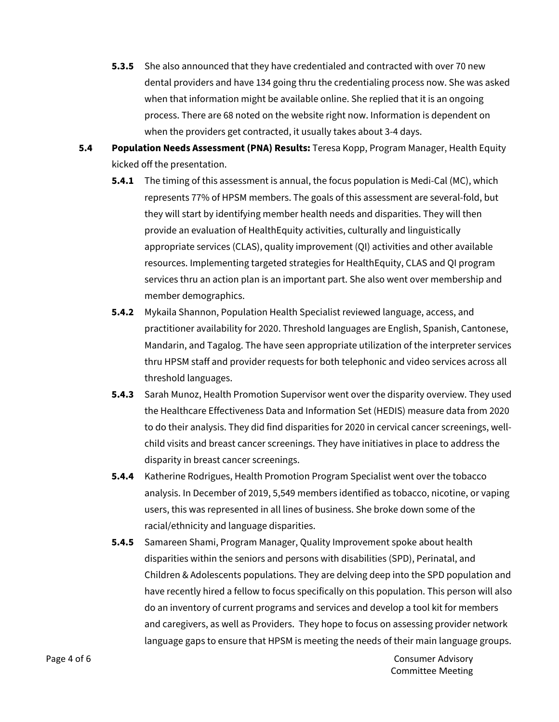- **5.3.5** She also announced that they have credentialed and contracted with over 70 new dental providers and have 134 going thru the credentialing process now. She was asked when that information might be available online. She replied that it is an ongoing process. There are 68 noted on the website right now. Information is dependent on when the providers get contracted, it usually takes about 3-4 days.
- **5.4 Population Needs Assessment (PNA) Results:** Teresa Kopp, Program Manager, Health Equity kicked off the presentation.
	- **5.4.1** The timing of this assessment is annual, the focus population is Medi-Cal (MC), which represents 77% of HPSM members. The goals of this assessment are several-fold, but they will start by identifying member health needs and disparities. They will then provide an evaluation of HealthEquity activities, culturally and linguistically appropriate services (CLAS), quality improvement (QI) activities and other available resources. Implementing targeted strategies for HealthEquity, CLAS and QI program services thru an action plan is an important part. She also went over membership and member demographics.
	- **5.4.2** Mykaila Shannon, Population Health Specialist reviewed language, access, and practitioner availability for 2020. Threshold languages are English, Spanish, Cantonese, Mandarin, and Tagalog. The have seen appropriate utilization of the interpreter services thru HPSM staff and provider requests for both telephonic and video services across all threshold languages.
	- **5.4.3** Sarah Munoz, Health Promotion Supervisor went over the disparity overview. They used the Healthcare Effectiveness Data and Information Set (HEDIS) measure data from 2020 to do their analysis. They did find disparities for 2020 in cervical cancer screenings, wellchild visits and breast cancer screenings. They have initiatives in place to address the disparity in breast cancer screenings.
	- **5.4.4** Katherine Rodrigues, Health Promotion Program Specialist went over the tobacco analysis. In December of 2019, 5,549 members identified as tobacco, nicotine, or vaping users, this was represented in all lines of business. She broke down some of the racial/ethnicity and language disparities.
	- **5.4.5** Samareen Shami, Program Manager, Quality Improvement spoke about health disparities within the seniors and persons with disabilities (SPD), Perinatal, and Children & Adolescents populations. They are delving deep into the SPD population and have recently hired a fellow to focus specifically on this population. This person will also do an inventory of current programs and services and develop a tool kit for members and caregivers, as well as Providers. They hope to focus on assessing provider network language gaps to ensure that HPSM is meeting the needs of their main language groups.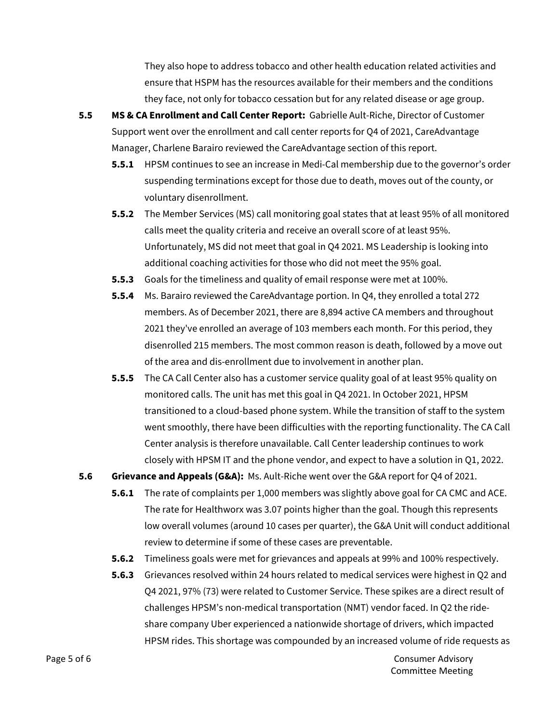They also hope to address tobacco and other health education related activities and ensure that HSPM has the resources available for their members and the conditions they face, not only for tobacco cessation but for any related disease or age group.

- **5.5 MS & CA Enrollment and Call Center Report:** Gabrielle Ault-Riche, Director of Customer Support went over the enrollment and call center reports for Q4 of 2021, CareAdvantage Manager, Charlene Barairo reviewed the CareAdvantage section of this report.
	- **5.5.1** HPSM continues to see an increase in Medi-Cal membership due to the governor's order suspending terminations except for those due to death, moves out of the county, or voluntary disenrollment.
	- **5.5.2** The Member Services (MS) call monitoring goal states that at least 95% of all monitored calls meet the quality criteria and receive an overall score of at least 95%. Unfortunately, MS did not meet that goal in Q4 2021. MS Leadership is looking into additional coaching activities for those who did not meet the 95% goal.
	- **5.5.3** Goals for the timeliness and quality of email response were met at 100%.
	- **5.5.4** Ms. Barairo reviewed the CareAdvantage portion. In Q4, they enrolled a total 272 members. As of December 2021, there are 8,894 active CA members and throughout 2021 they've enrolled an average of 103 members each month. For this period, they disenrolled 215 members. The most common reason is death, followed by a move out of the area and dis-enrollment due to involvement in another plan.
	- **5.5.5** The CA Call Center also has a customer service quality goal of at least 95% quality on monitored calls. The unit has met this goal in Q4 2021. In October 2021, HPSM transitioned to a cloud-based phone system. While the transition of staff to the system went smoothly, there have been difficulties with the reporting functionality. The CA Call Center analysis is therefore unavailable. Call Center leadership continues to work closely with HPSM IT and the phone vendor, and expect to have a solution in Q1, 2022.
- **5.6 Grievance and Appeals (G&A):** Ms. Ault-Riche went over the G&A report for Q4 of 2021.
	- **5.6.1** The rate of complaints per 1,000 members was slightly above goal for CA CMC and ACE. The rate for Healthworx was 3.07 points higher than the goal. Though this represents low overall volumes (around 10 cases per quarter), the G&A Unit will conduct additional review to determine if some of these cases are preventable.
	- **5.6.2** Timeliness goals were met for grievances and appeals at 99% and 100% respectively.
	- **5.6.3** Grievances resolved within 24 hours related to medical services were highest in Q2 and Q4 2021, 97% (73) were related to Customer Service. These spikes are a direct result of challenges HPSM's non-medical transportation (NMT) vendor faced. In Q2 the rideshare company Uber experienced a nationwide shortage of drivers, which impacted HPSM rides. This shortage was compounded by an increased volume of ride requests as